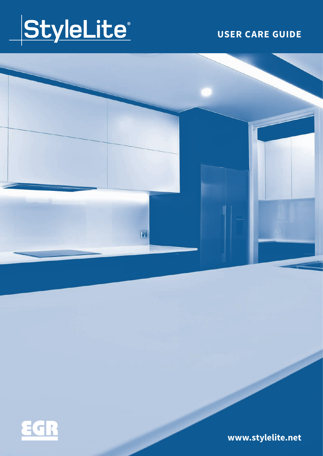

### **USER CARE GUIDE**





**www.stylelite.net**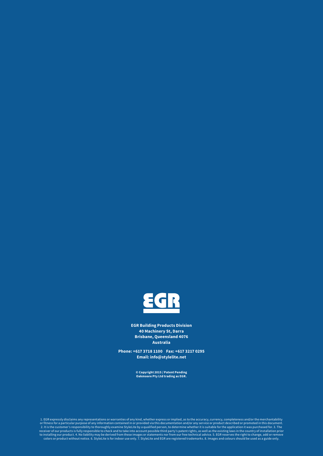

**EGR Building Products Division 40 Machinery St, Darra Brisbane, Queensland 4076 Australia**

**Phone: +617 3718 1100 Fax: +617 3217 0295 Email: info@stylelite.net**

**© Copyright 2015 / Patent Pending Oakmoore Pty Ltd trading as EGR.** 

1. EGR expressly disclaims any representations or warranties of any kind, whether express or implied, as to the accuracy, currency, completeness and/or the merchantability of the merchantability of the merchantability of t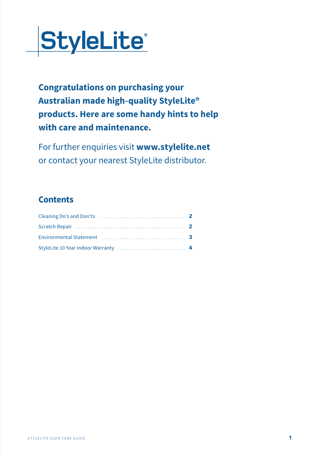

**Congratulations on purchasing your Australian made high-quality StyleLite® products. Here are some handy hints to help with care and maintenance.**

For further enquiries visit **www.stylelite.net** or contact your nearest StyleLite distributor.

#### **Contents**

| Environmental Statement (1999) (1999) (1999) (1999) (1999) (1999) (1999) (1999) (1999) (1999) (1999) (1999) (1 |  |
|----------------------------------------------------------------------------------------------------------------|--|
|                                                                                                                |  |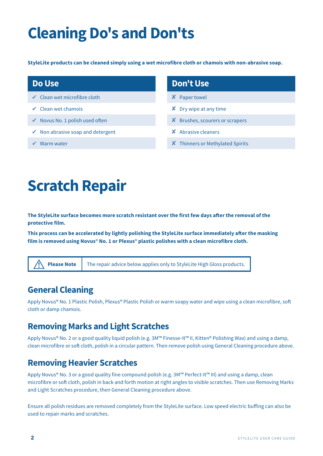# **Cleaning Do's and Don'ts**

**StyleLite products can be cleaned simply using a wet microfibre cloth or chamois with non-abrasive soap.**

#### **Do Use**

- ✔ Clean wet microfibre cloth
- ✔ Clean wet chamois
- ✔ Novus No. 1 polish used often
- ✔ Non abrasive soap and detergent
- ✔ Warm water

#### **Don't Use**

- ✘ Paper towel
- **X** Dry wipe at any time
- ✘ Brushes, scourers or scrapers
- ✘ Abrasive cleaners
- ✘ Thinners or Methylated Spirits

# **Scratch Repair**

**The StyleLite surface becomes more scratch resistant over the first few days after the removal of the protective film.**

**This process can be accelerated by lightly polishing the StyleLite surface immediately after the masking film is removed using Novus**® **No. 1 or Plexus**® **plastic polishes with a clean microfibre cloth.**



**Please Note** The repair advice below applies only to StyleLite High Gloss products.

#### **General Cleaning**

Apply Novus® No. 1 Plastic Polish, Plexus® Plastic Polish or warm soapy water and wipe using a clean microfibre, soft cloth or damp chamois.

#### **Removing Marks and Light Scratches**

Apply Novus® No. 2 or a good quality liquid polish (e.g. 3M™ Finesse-It™ II, Kitten® Polishing Wax) and using a damp, clean microfibre or soft cloth, polish in a circular pattern. Then remove polish using General Cleaning procedure above.

#### **Removing Heavier Scratches**

Apply Novus® No. 3 or a good quality fine compound polish (e.g. 3M™ Perfect-It™ III) and using a damp, clean microfibre or soft cloth, polish in back and forth motion at right angles to visible scratches. Then use Removing Marks and Light Scratches procedure, then General Cleaning procedure above.

Ensure all polish residues are removed completely from the StyleLite surface. Low speed electric buffing can also be used to repair marks and scratches.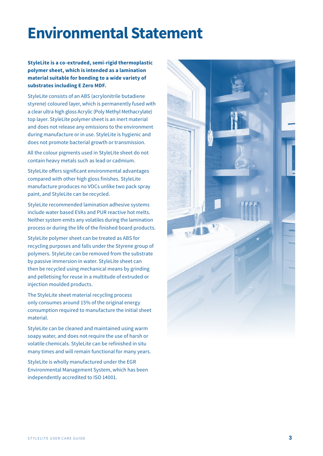### **Environmental Statement**

**StyleLite is a co-extruded, semi-rigid thermoplastic polymer sheet, which is intended as a lamination material suitable for bonding to a wide variety of substrates including E Zero MDF.** 

StyleLite consists of an ABS (acrylonitrile butadiene styrene) coloured layer, which is permanently fused with a clear ultra high gloss Acrylic (Poly Methyl Methacrylate) top layer. StyleLite polymer sheet is an inert material and does not release any emissions to the environment during manufacture or in use. StyleLite is hygienic and does not promote bacterial growth or transmission.

All the colour pigments used in StyleLite sheet do not contain heavy metals such as lead or cadmium.

StyleLite offers significant environmental advantages compared with other high gloss finishes. StyleLite manufacture produces no VOCs unlike two pack spray paint, and StyleLite can be recycled.

StyleLite recommended lamination adhesive systems include water based EVAs and PUR reactive hot melts. Neither system emits any volatiles during the lamination process or during the life of the finished board products.

StyleLite polymer sheet can be treated as ABS for recycling purposes and falls under the Styrene group of polymers. StyleLite can be removed from the substrate by passive immersion in water. StyleLite sheet can then be recycled using mechanical means by grinding and pelletising for reuse in a multitude of extruded or injection moulded products.

The StyleLite sheet material recycling process only consumes around 15% of the original energy consumption required to manufacture the initial sheet material.

StyleLite can be cleaned and maintained using warm soapy water, and does not require the use of harsh or volatile chemicals. StyleLite can be refinished in situ many times and will remain functional for many years.

StyleLite is wholly manufactured under the EGR Environmental Management System, which has been independently accredited to ISO 14001.

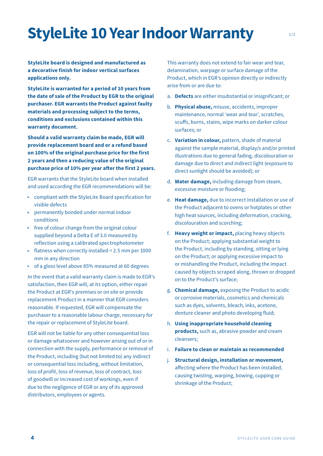### **StyleLite 10 Year Indoor Warranty**

**StyleLite board is designed and manufactured as a decorative finish for indoor vertical surfaces applications only.** 

**StyleLite is warranted for a period of 10 years from the date of sale of the Product by EGR to the original purchaser. EGR warrants the Product against faulty materials and processing subject to the terms, conditions and exclusions contained within this warranty document.** 

**Should a valid warranty claim be made, EGR will provide replacement board and or a refund based on 100% of the original purchase price for the first 2 years and then a reducing value of the original purchase price of 10% per year after the first 2 years.**

EGR warrants that the StyleLite board when installed and used according the EGR recommendations will be:

- compliant with the StyleLite Board specification for visible defects
- permanently bonded under normal indoor conditions
- $\rightarrow$  free of colour change from the original colour supplied beyond a Delta E of 3.0 measured by reflection using a calibrated spectrophotometer
- flatness when correctly installed < 2.5 mm per 1000 mm in any direction
- ► of a gloss level above 85% measured at 60 degrees

In the event that a valid warranty claim is made to EGR's satisfaction, then EGR will, at its option, either repair the Product at EGR's premises or on site or provide replacement Product in a manner that EGR considers reasonable. If requested, EGR will compensate the purchaser to a reasonable labour charge, necessary for the repair or replacement of StyleLite board.

EGR will not be liable for any other consequential loss or damage whatsoever and however arising out of or in connection with the supply, performance or removal of the Product, including (but not limited to) any indirect or consequential loss including, without limitation, loss of profit, loss of revenue, loss of contract, loss of goodwill or increased cost of workings, even if due to the negligence of EGR or any of its approved distributors, employees or agents.

This warranty does not extend to fair wear and tear, delamination, warpage or surface damage of the Product, which in EGR's opinion directly or indirectly arise from or are due to:

- a. **Defects** are either insubstantial or insignificant; or
- b. **Physical abuse,** misuse, accidents, improper maintenance, normal 'wear and tear', scratches, scuffs, burns, stains, wipe marks on darker colour surfaces; or
- c. **Variation in colour,** pattern, shade of material against the sample material, display/s and/or printed illustrations due to general fading, discolouration or damage due to direct and indirect light (exposure to direct sunlight should be avoided); or
- d. **Water damage,** including damage from steam, excessive moisture or flooding;
- e. **Heat damage,** due to incorrect installation or use of the Product adjacent to ovens or hotplates or other high heat sources, including deformation, cracking, discolouration and scorching;
- f. **Heavy weight or impact,** placing heavy objects on the Product; applying substantial weight to the Product, including by standing, sitting or lying on the Product; or applying excessive impact to or mishandling the Product, including the impact caused by objects scraped along, thrown or dropped on to the Product's surface;
- g. **Chemical damage,** exposing the Product to acidic or corrosive materials, cosmetics and chemicals such as dyes, solvents, bleach, inks, acetone, denture cleaner and photo developing fluid;
- h. **Using inappropriate household cleaning products,** such as, abrasive powder and cream cleansers;
- i. **Failure to clean or maintain as recommended**
- j. **Structural design, installation or movement,**  affecting where the Product has been installed, causing twisting, warping, bowing, cupping or shrinkage of the Product;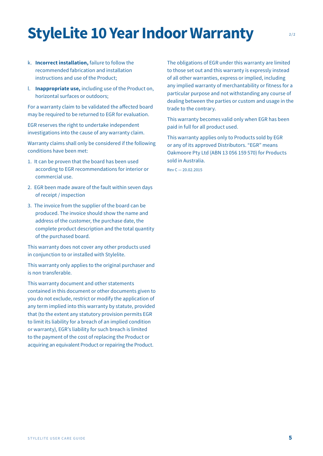## **StyleLite 10 Year Indoor Warranty** 2/2

- k. **Incorrect installation,** failure to follow the recommended fabrication and installation instructions and use of the Product;
- l. **Inappropriate use,** including use of the Product on, horizontal surfaces or outdoors;

For a warranty claim to be validated the affected board may be required to be returned to EGR for evaluation.

EGR reserves the right to undertake independent investigations into the cause of any warranty claim.

Warranty claims shall only be considered if the following conditions have been met:

- 1. It can be proven that the board has been used according to EGR recommendations for interior or commercial use.
- 2. EGR been made aware of the fault within seven days of receipt / inspection
- 3. The invoice from the supplier of the board can be produced. The invoice should show the name and address of the customer, the purchase date, the complete product description and the total quantity of the purchased board.

This warranty does not cover any other products used in conjunction to or installed with Stylelite.

This warranty only applies to the original purchaser and is non transferable.

This warranty document and other statements contained in this document or other documents given to you do not exclude, restrict or modify the application of any term implied into this warranty by statute, provided that (to the extent any statutory provision permits EGR to limit its liability for a breach of an implied condition or warranty), EGR's liability for such breach is limited to the payment of the cost of replacing the Product or acquiring an equivalent Product or repairing the Product.

The obligations of EGR under this warranty are limited to those set out and this warranty is expressly instead of all other warranties, express or implied, including any implied warranty of merchantability or fitness for a particular purpose and not withstanding any course of dealing between the parties or custom and usage in the trade to the contrary.

This warranty becomes valid only when EGR has been paid in full for all product used.

This warranty applies only to Products sold by EGR or any of its approved Distributors. "EGR" means Oakmoore Pty Ltd (ABN 13 056 159 570) for Products sold in Australia.

Rev C — 20.02.2015